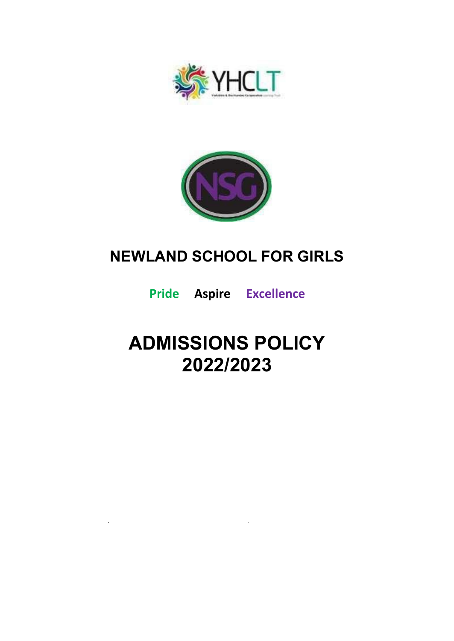



## **NEWLAND SCHOOL FOR GIRLS**

**Pride Aspire Excellence**

# **ADMISSIONS POLICY 2022/2023**

 $\mathcal{L}^{\text{max}}_{\text{max}}$  ,  $\mathcal{L}^{\text{max}}_{\text{max}}$ 

 $\sim$   $\sim$ 

 $\mathcal{L}^{\text{max}}_{\text{max}}$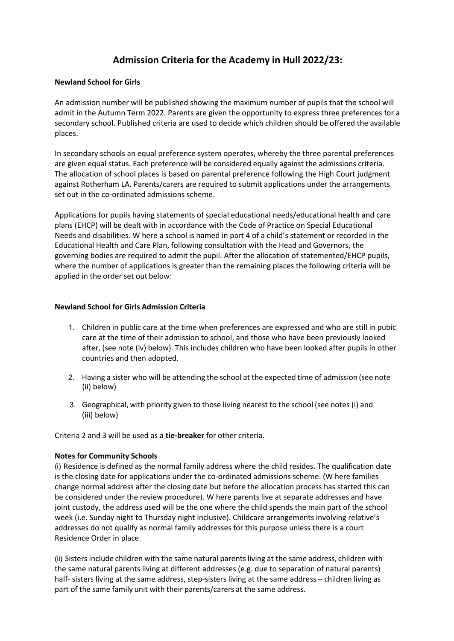### **Admission Criteria for the Academy in Hull 2022/23:**

#### **Newland School for Girls**

An admission number will be published showing the maximum number of pupils that the school will admit in the Autumn Term 2022. Parents are given the opportunity to express three preferences for a secondary school. Published criteria are used to decide which children should be offered the available places.

In secondary schools an equal preference system operates, whereby the three parental preferences are given equal status. Each preference will be considered equally against the admissions criteria. The allocation of school places is based on parental preference following the High Court judgment against Rotherham LA. Parents/carers are required to submit applications under the arrangements set out in the co-ordinated admissions scheme.

Applications for pupils having statements of special educational needs/educational health and care plans (EHCP) will be dealt with in accordance with the Code of Practice on Special Educational Needs and disabilities. W here a school is named in part 4 of a child's statement or recorded in the Educational Health and Care Plan, following consultation with the Head and Governors, the governing bodies are required to admit the pupil. After the allocation of statemented/EHCP pupils, where the number of applications is greater than the remaining places the following criteria will be applied in the order set out below:

#### **Newland School for Girls Admission Criteria**

- 1. Children in public care at the time when preferences are expressed and who are still in pubic care at the time of their admission to school, and those who have been previously looked after, (see note (iv) below). This includes children who have been looked after pupils in other countries and then adopted.
- 2. Having a sister who will be attending the school at the expected time of admission (see note (ii) below)
- 3. Geographical, with priority given to those living nearest to the school (see notes (i) and (iii) below)

Criteria 2 and 3 will be used as a **tie-breaker** for other criteria.

#### **Notes for Community Schools**

(i) Residence is defined as the normal family address where the child resides. The qualification date is the closing date for applications under the co-ordinated admissions scheme. (W here families change normal address after the closing date but before the allocation process has started this can be considered under the review procedure). W here parents live at separate addresses and have joint custody, the address used will be the one where the child spends the main part of the school week (i.e. Sunday night to Thursday night inclusive). Childcare arrangements involving relative's addresses do not qualify as normal family addresses for this purpose unless there is a court Residence Order in place.

(ii) Sisters include children with the same natural parentsliving at the same address, children with the same natural parents living at different addresses (e.g. due to separation of natural parents) half- sisters living at the same address, step-sisters living at the same address – children living as part of the same family unit with their parents/carers at the same address.